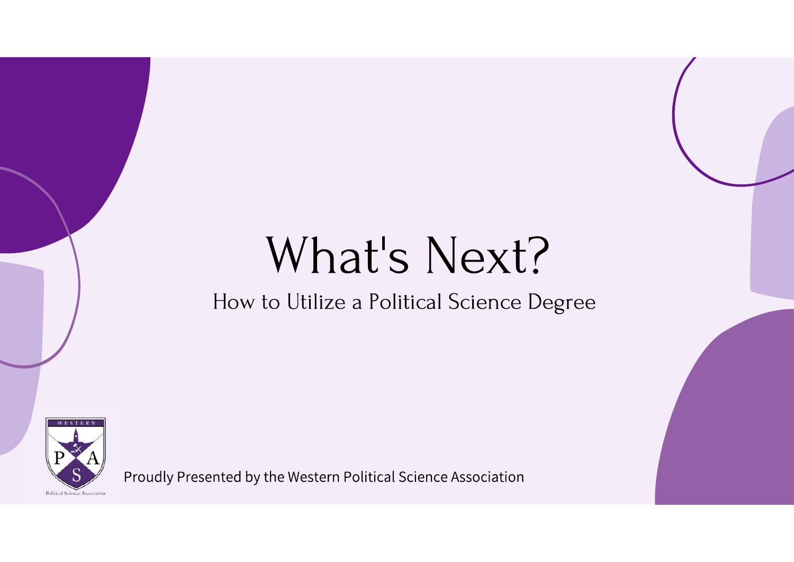# What's Next?

#### How to Utilize a Political Science Degree



Proudly Presented by the Western Political Science Association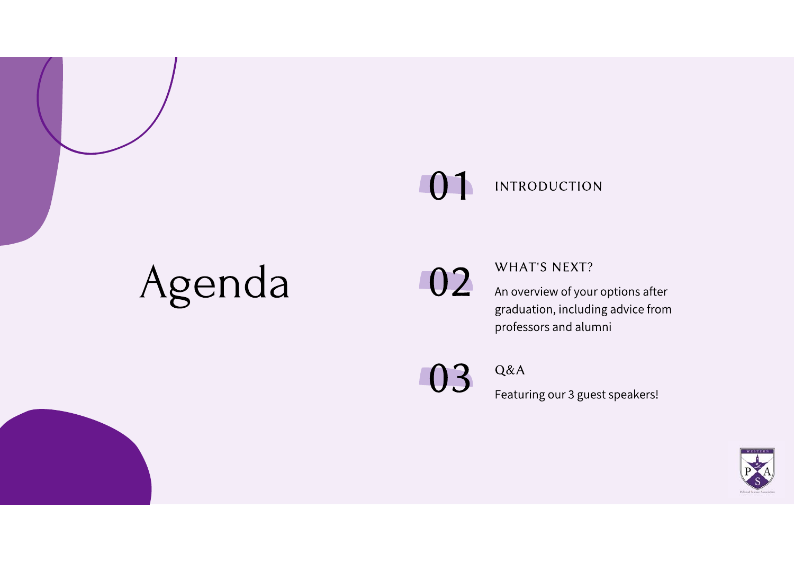#### $\bigcap$ **INTRODUCTION**

# Agenda



WHAT'S NEXT?

An overview of your options after graduation, including advice from professors and alumni

03

Q&A

Featuring our 3 guest speakers!

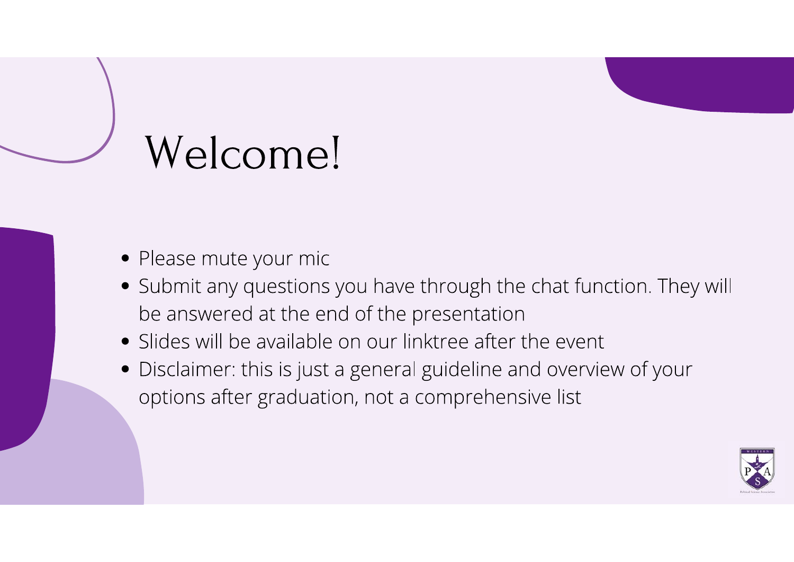# Welcome!

- Please mute your mic
- Submit any questions you have through the chat function. They will be answered at the end of the presentation
- Slides will be available on our linktree after the event
- Disclaimer: this is just a general guideline and overview of your options after graduation, not a comprehensive list

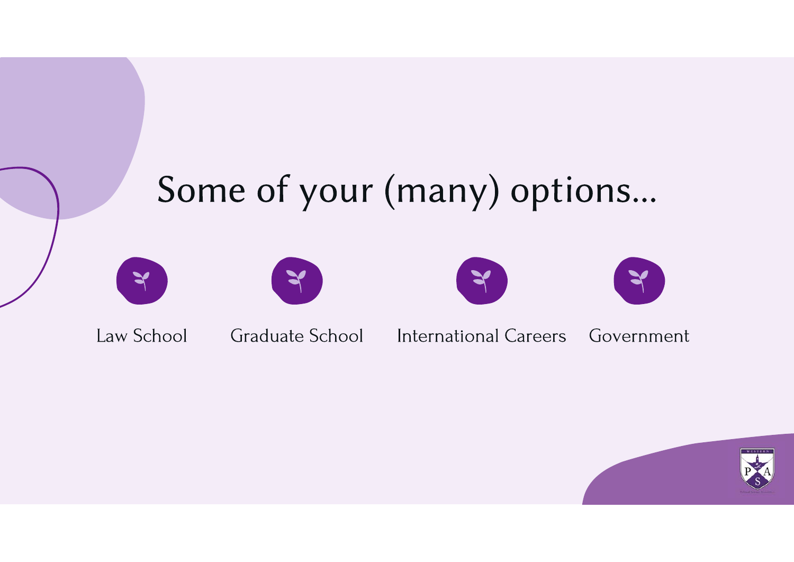

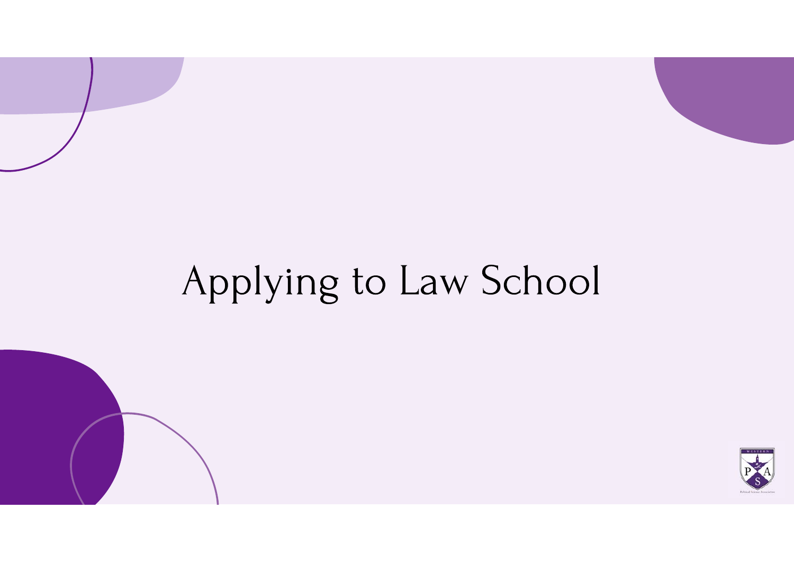# Applying to Law School

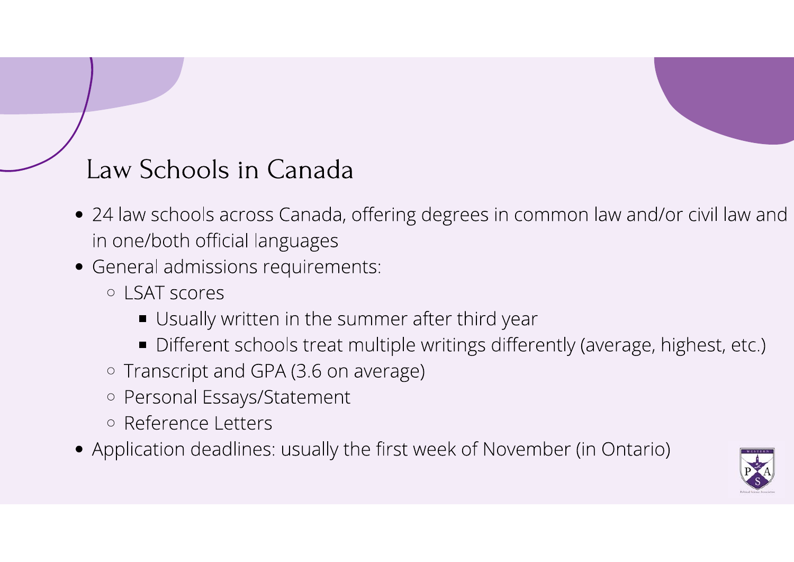#### Law Schools in Canada

- 24 law schools across Canada, offering degrees in common law and/or civil law and in one/both official languages
- General admissions requirements:
	- o I SAT scores
		- Usually written in the summer after third year
		- Different schools treat multiple writings differently (average, highest, etc.)
	- Transcript and GPA (3.6 on average)
	- Personal Essays/Statement
	- · Reference Letters
- Application deadlines: usually the first week of November (in Ontario)

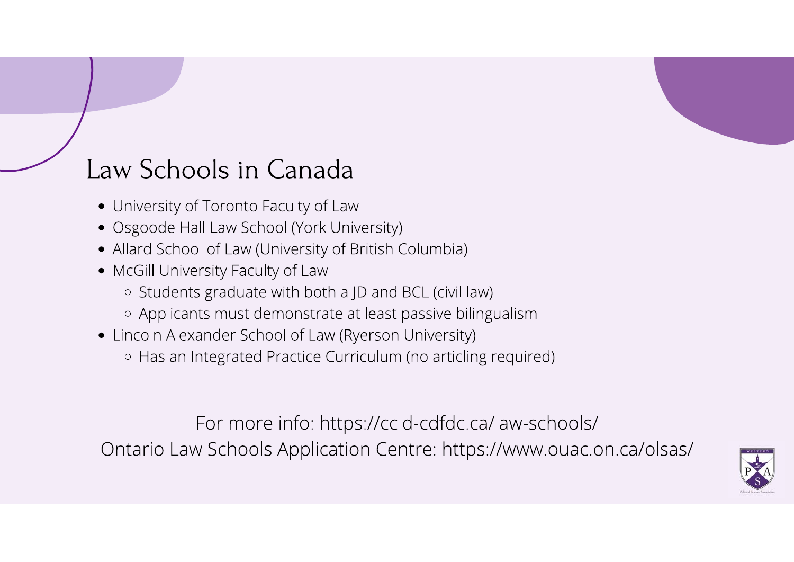#### Law Schools in Canada

- University of Toronto Faculty of Law
- Osgoode Hall Law School (York University)
- Allard School of Law (University of British Columbia)
- McGill University Faculty of Law
	- o Students graduate with both a JD and BCL (civil law)
	- Applicants must demonstrate at least passive bilingualism
- Lincoln Alexander School of Law (Ryerson University) ○ Has an Integrated Practice Curriculum (no articling required)

For more info: https://ccld-cdfdc.ca/law-schools/ Ontario Law Schools Application Centre: https://www.ouac.on.ca/olsas/

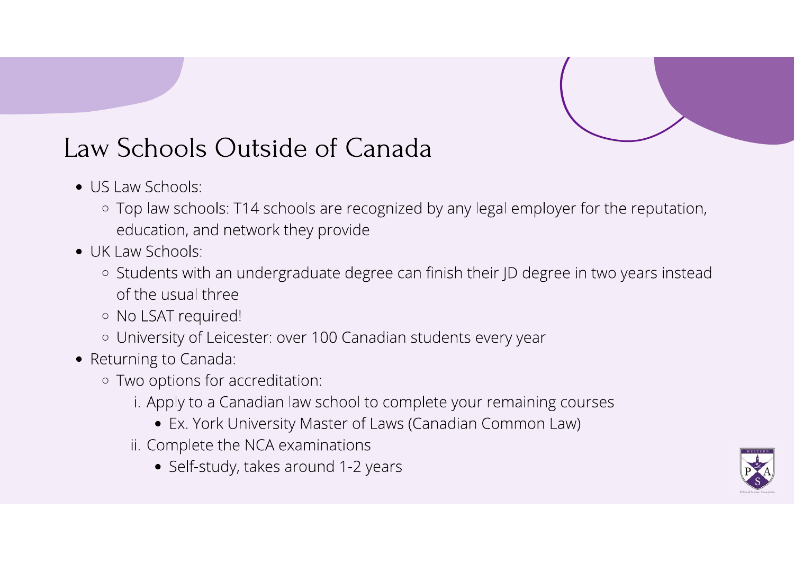#### Law Schools Outside of Canada

- $\bullet$  US Law Schools:
	- Top law schools: T14 schools are recognized by any legal employer for the reputation, education, and network they provide
- UK Law Schools:
	- Students with an undergraduate degree can finish their JD degree in two years instead of the usual three
	- · No LSAT required!
	- o University of Leicester: over 100 Canadian students every year
- Returning to Canada:
	- Two options for accreditation:
		- i. Apply to a Canadian law school to complete your remaining courses
			- Ex. York University Master of Laws (Canadian Common Law)
		- ii. Complete the NCA examinations
			- Self-study, takes around 1-2 years

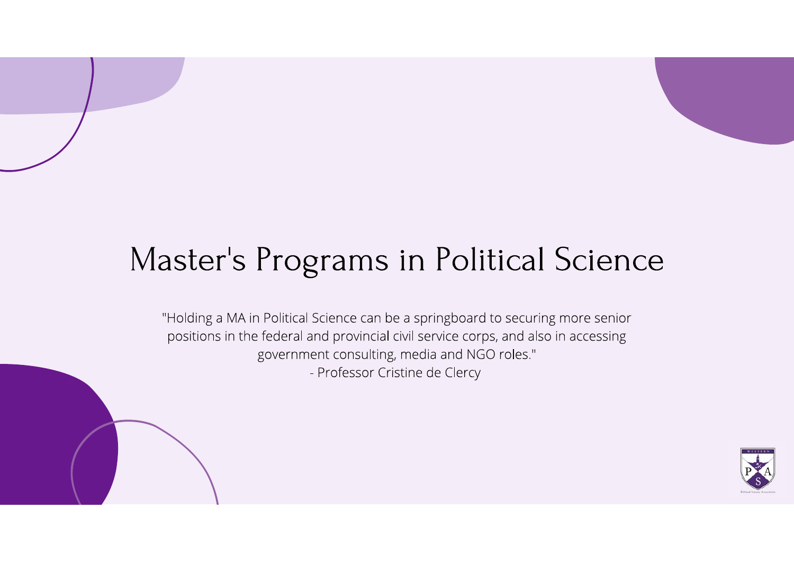## Master's Programs in Political Science

"Holding a MA in Political Science can be a springboard to securing more senior positions in the federal and provincial civil service corps, and also in accessing government consulting, media and NGO roles." - Professor Cristine de Clercy

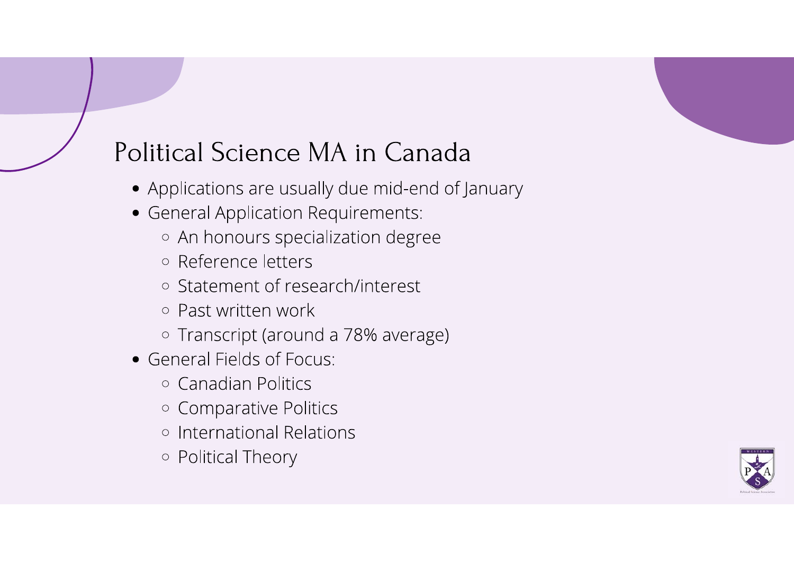#### Political Science MA in Canada

- Applications are usually due mid-end of January
- General Application Requirements:
	- An honours specialization degree
	- Reference letters
	- Statement of research/interest
	- o Past written work
	- Transcript (around a 78% average)
- General Fields of Focus:
	- Canadian Politics
	- Comparative Politics
	- o International Relations
	- o Political Theory

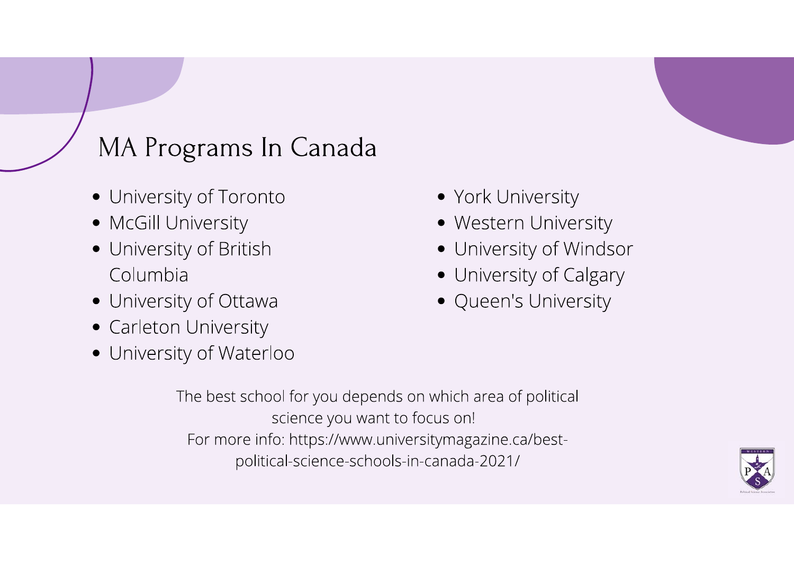#### MA Programs In Canada

- University of Toronto
- McGill University
- University of British Columbia
- University of Ottawa
- Carleton University
- University of Waterloo
- York University
- Western University
- University of Windsor
- University of Calgary
- Queen's University

The best school for you depends on which area of political science you want to focus on! For more info: https://www.universitymagazine.ca/bestpolitical-science-schools-in-canada-2021/

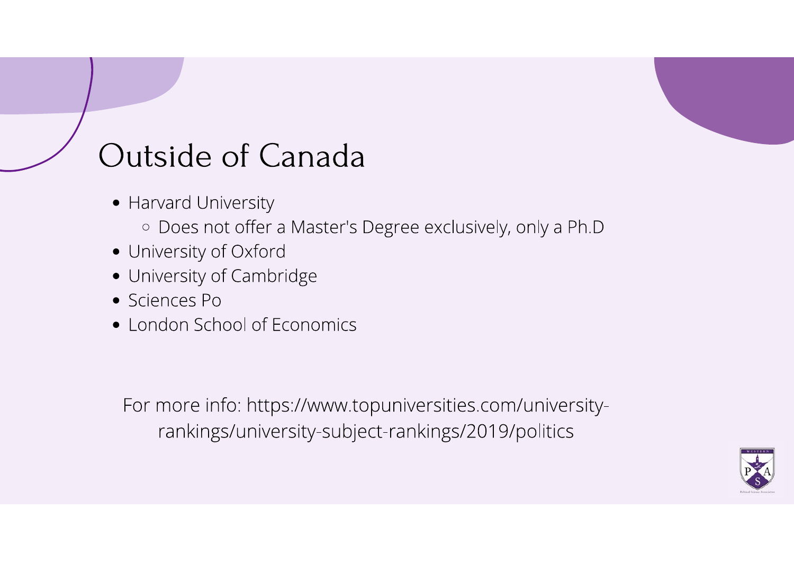## Outside of Canada

- Harvard University
	- · Does not offer a Master's Degree exclusively, only a Ph.D
- University of Oxford
- University of Cambridge
- Sciences Po
- London School of Economics

For more info: https://www.topuniversities.com/universityrankings/university-subject-rankings/2019/politics

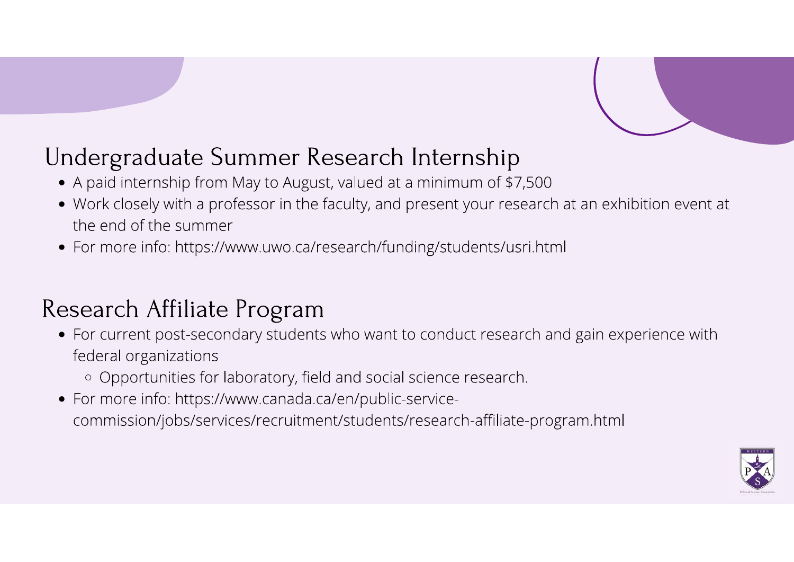#### Undergraduate Summer Research Internship

- A paid internship from May to August, valued at a minimum of \$7,500
- Work closely with a professor in the faculty, and present your research at an exhibition event at the end of the summer
- For more info: https://www.uwo.ca/research/funding/students/usri.html

#### Research Affiliate Program

- For current post-secondary students who want to conduct research and gain experience with federal organizations
	- Opportunities for laboratory, field and social science research.
- For more info: https://www.canada.ca/en/public-servicecommission/jobs/services/recruitment/students/research-affiliate-program.html

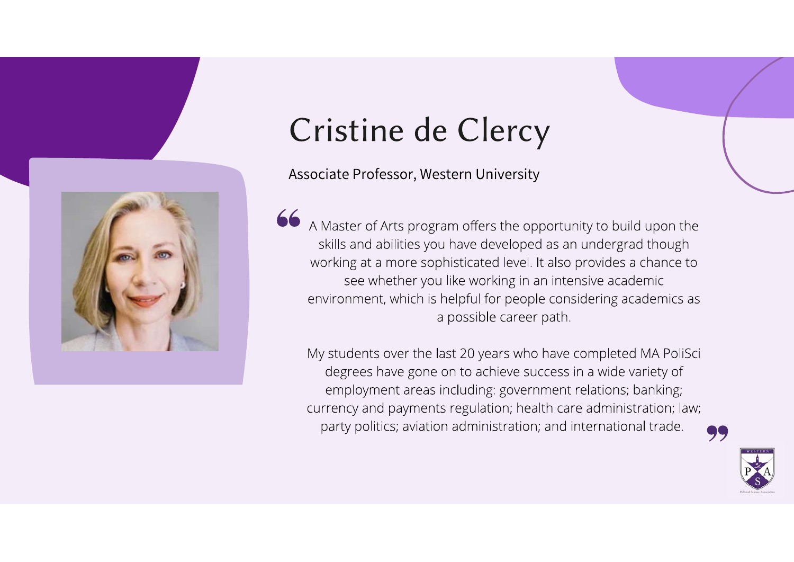

### Cristine de Clercy

Associate Professor, Western University

66 A Master of Arts program offers the opportunity to build upon the skills and abilities you have developed as an undergrad though working at a more sophisticated level. It also provides a chance to see whether you like working in an intensive academic environment, which is helpful for people considering academics as a possible career path.

My students over the last 20 years who have completed MA PoliSci degrees have gone on to achieve success in a wide variety of employment areas including: government relations; banking; currency and payments regulation; health care administration; law; party politics; aviation administration; and international trade.



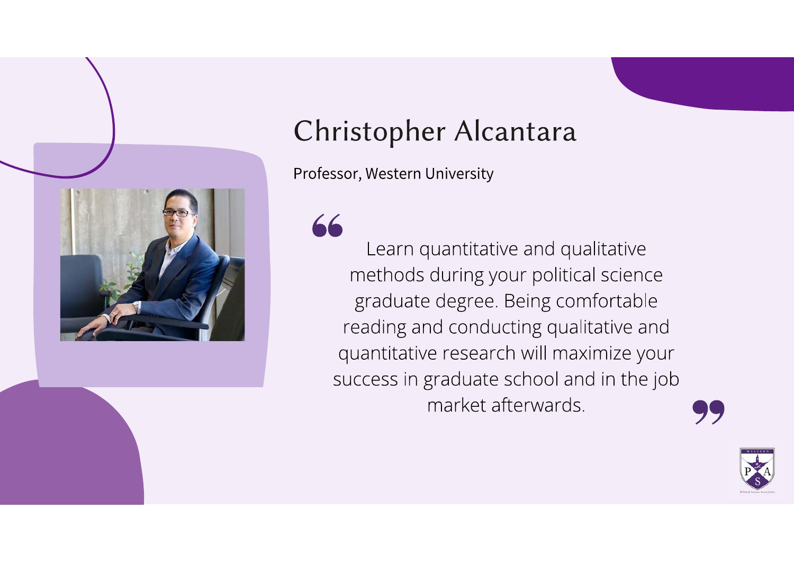

#### Christopher Alcantara

Professor, Western University

66 Learn quantitative and qualitative methods during your political science graduate degree. Being comfortable reading and conducting qualitative and quantitative research will maximize your success in graduate school and in the job market afterwards.



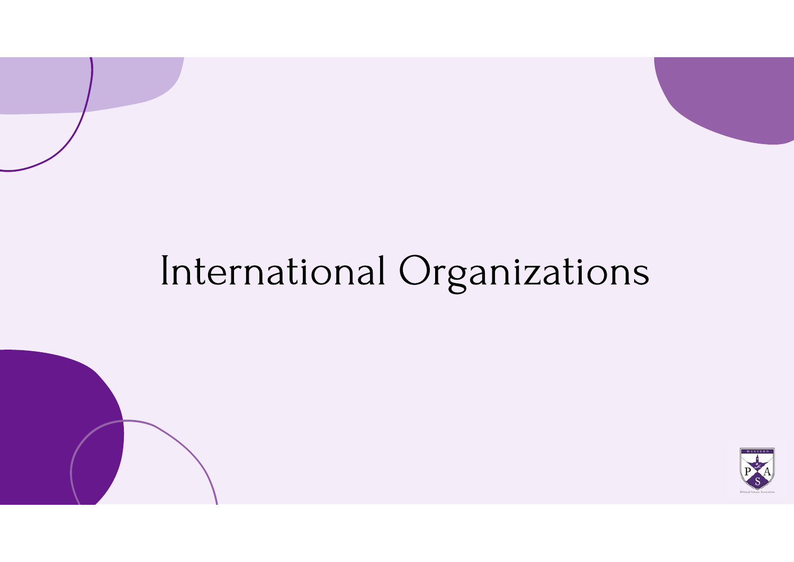# International Organizations

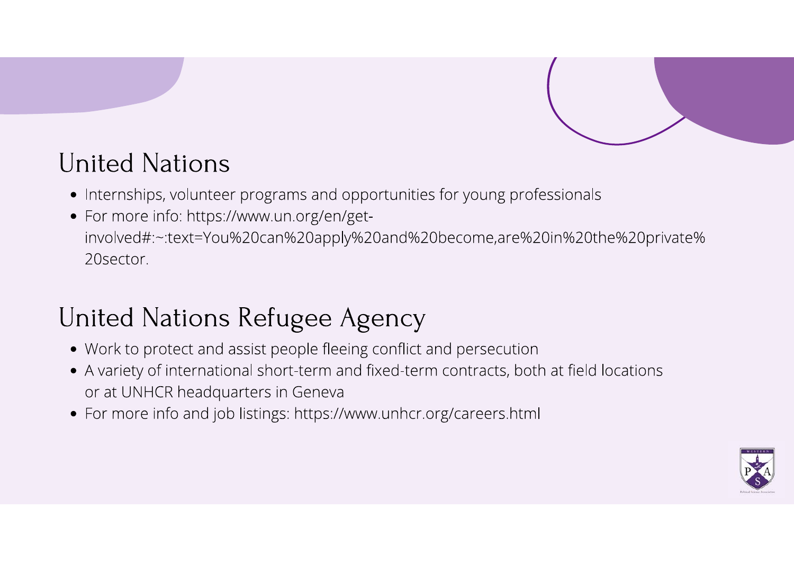

#### **United Nations**

- Internships, volunteer programs and opportunities for young professionals
- For more info: https://www.un.org/en/getinvolved#:~:text=You%20can%20apply%20and%20become,are%20in%20the%20private% 20 sector.

#### United Nations Refugee Agency

- Work to protect and assist people fleeing conflict and persecution
- A variety of international short-term and fixed-term contracts, both at field locations or at UNHCR headquarters in Geneva
- For more info and job listings: https://www.unhcr.org/careers.html

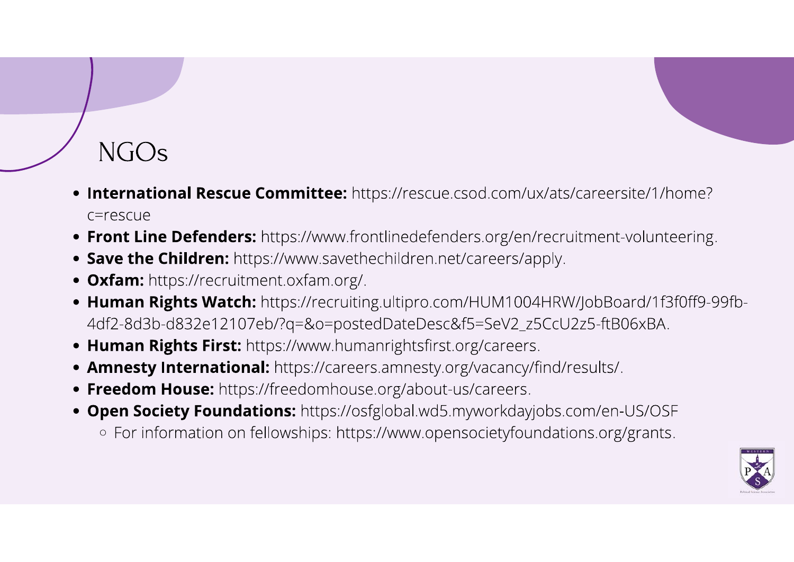# $NGOs$

- International Rescue Committee: https://rescue.csod.com/ux/ats/careersite/1/home? c=rescue
- Front Line Defenders: https://www.frontlinedefenders.org/en/recruitment-volunteering.
- Save the Children: https://www.savethechildren.net/careers/apply.
- Oxfam: https://recruitment.oxfam.org/.
- Human Rights Watch: https://recruiting.ultipro.com/HUM1004HRW/JobBoard/1f3f0ff9-99fb-4df2-8d3b-d832e12107eb/?q=&o=postedDateDesc&f5=SeV2\_z5CcU2z5-ftB06xBA.
- Human Rights First: https://www.humanrightsfirst.org/careers.
- Amnesty International: https://careers.amnesty.org/vacancy/find/results/.
- Freedom House: https://freedomhouse.org/about-us/careers.
- Open Society Foundations: https://osfglobal.wd5.myworkdayjobs.com/en-US/OSF
	- For information on fellowships: https://www.opensocietyfoundations.org/grants.

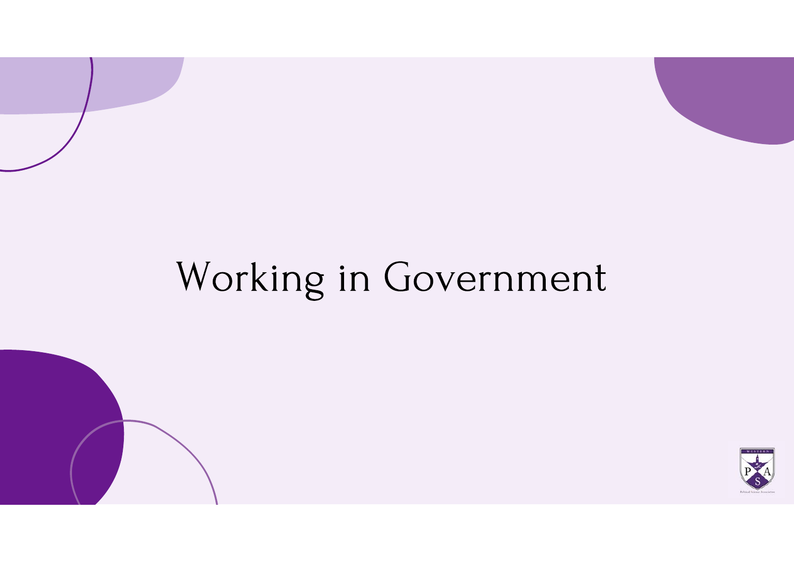# Working in Government

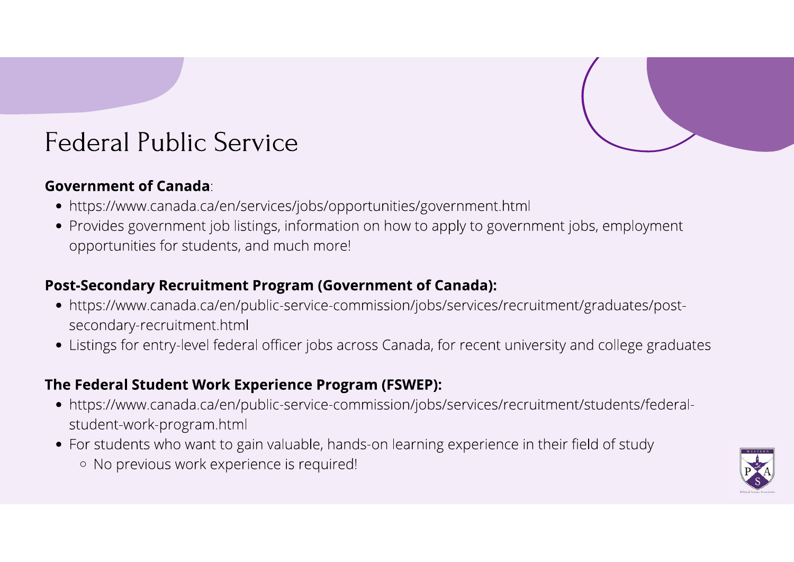#### **Federal Public Service**

#### **Government of Canada**:

- https://www.canada.ca/en/services/jobs/opportunities/government.html
- Provides government job listings, information on how to apply to government jobs, employment opportunities for students, and much more!

#### **Post-Secondary Recruitment Program (Government of Canada):**

- https://www.canada.ca/en/public-service-commission/jobs/services/recruitment/graduates/postsecondary-recruitment.html
- Listings for entry-level federal officer jobs across Canada, for recent university and college graduates

#### The Federal Student Work Experience Program (FSWEP):

- https://www.canada.ca/en/public-service-commission/jobs/services/recruitment/students/federalstudent-work-program.html
- For students who want to gain valuable, hands-on learning experience in their field of study
	- No previous work experience is required!

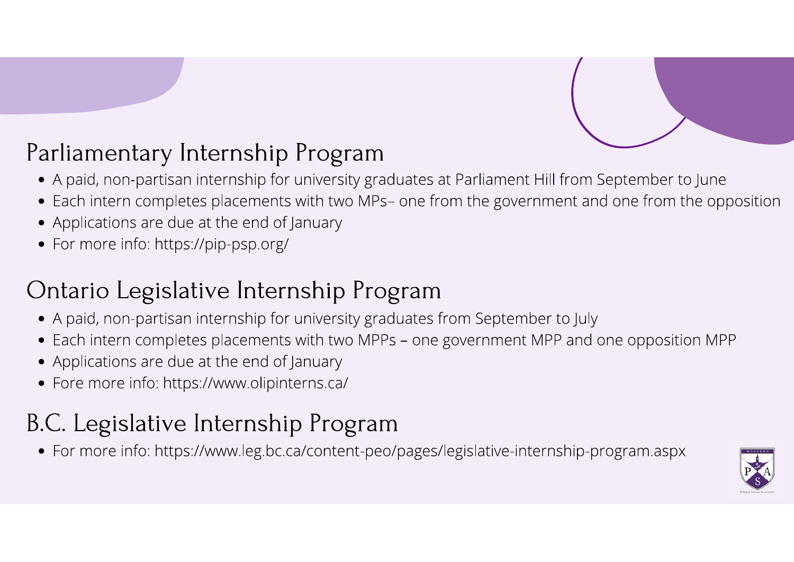#### Parliamentary Internship Program

- . A paid, non-partisan internship for university graduates at Parliament Hill from September to June
- Each intern completes placements with two MPs- one from the government and one from the opposition
- Applications are due at the end of January
- For more info: https://pip-psp.org/

#### Ontario Legislative Internship Program

- A paid, non-partisan internship for university graduates from September to July
- Each intern completes placements with two MPPs one government MPP and one opposition MPP
- Applications are due at the end of January
- Fore more info: https://www.olipinterns.ca/

#### B.C. Legislative Internship Program

· For more info: https://www.leg.bc.ca/content-peo/pages/legislative-internship-program.aspx

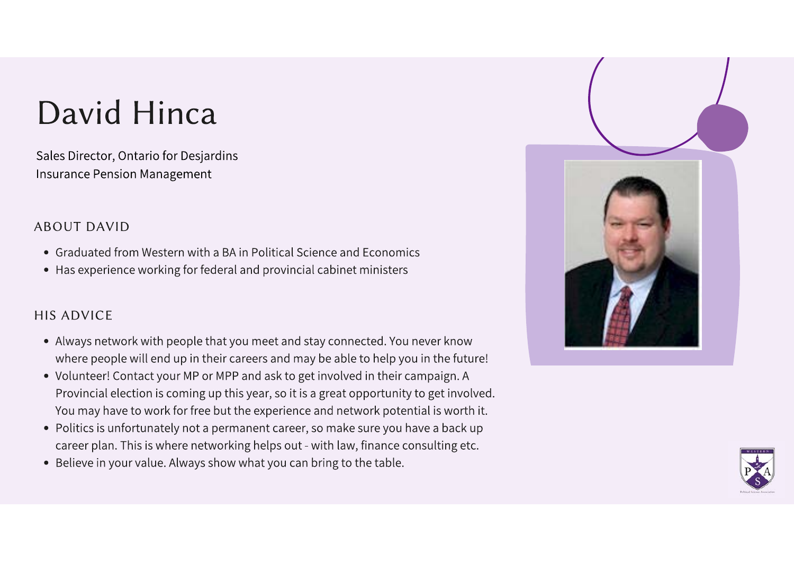## David Hinca

Sales Director, Ontario for Desjardins **Insurance Pension Management** 

#### **ABOUT DAVID**

- Graduated from Western with a BA in Political Science and Economics
- Has experience working for federal and provincial cabinet ministers

#### **HIS ADVICE**

- Always network with people that you meet and stay connected. You never know where people will end up in their careers and may be able to help you in the future!
- Volunteer! Contact your MP or MPP and ask to get involved in their campaign. A Provincial election is coming up this year, so it is a great opportunity to get involved. You may have to work for free but the experience and network potential is worth it.
- Politics is unfortunately not a permanent career, so make sure you have a back up career plan. This is where networking helps out - with law, finance consulting etc.
- Believe in your value. Always show what you can bring to the table.



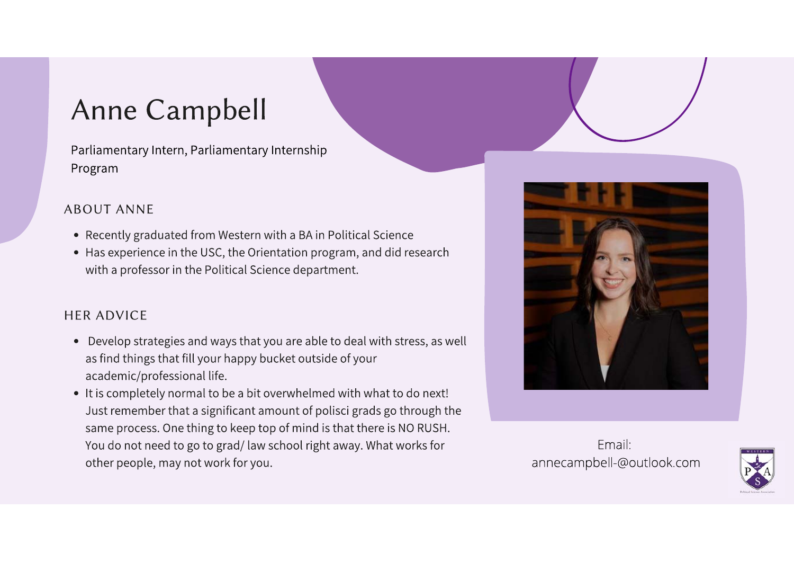#### **Anne Campbell**

Parliamentary Intern, Parliamentary Internship Program

#### **ABOUT ANNE**

- Recently graduated from Western with a BA in Political Science
- Has experience in the USC, the Orientation program, and did research with a professor in the Political Science department.

#### **HFR ADVICE**

- Develop strategies and ways that you are able to deal with stress, as well as find things that fill your happy bucket outside of your academic/professional life.
- It is completely normal to be a bit overwhelmed with what to do next! Just remember that a significant amount of polisci grads go through the same process. One thing to keep top of mind is that there is NO RUSH. You do not need to go to grad/law school right away. What works for other people, may not work for you.



Fmail: annecampbell-@outlook.com

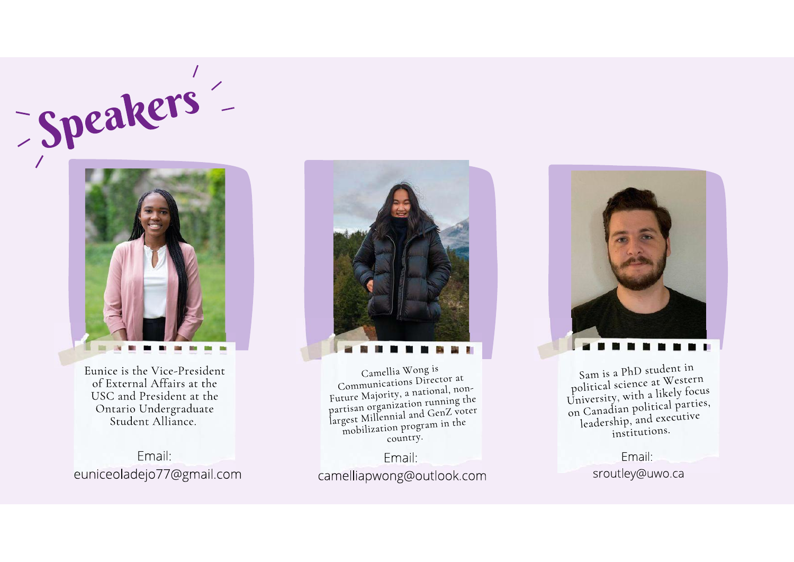# -speakers'-



Eunice is the Vice-President of External Affairs at the USC and President at the Ontario Undergraduate<br>Student Alliance.

Email: euniceoladejo77@gmail.com



Camellia Wong is Communications Director at Future Majority, a national, nonpartisan organization running the largest Millennial and GenZ voter mobilization program in the country.

Email: camelliapwong@outlook.com



Sam is a PhD student in political science at Western University, with a likely focus on Canadian political parties, leadership, and executive institutions.

> Email: sroutley@uwo.ca